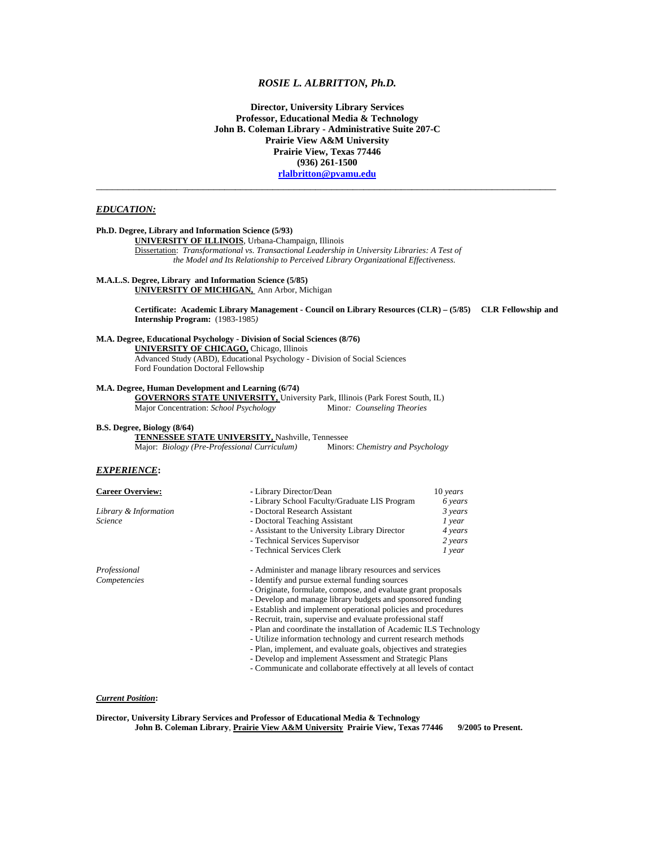# *ROSIE L. ALBRITTON, Ph.D.*

**Director, University Library Services Professor, Educational Media & Technology John B. Coleman Library - Administrative Suite 207-C Prairie View A&M University Prairie View, Texas 77446 (936) 261-1500 [rlalbritton@pvamu.edu](mailto:rlalbritton@pvamu.edu)** \_\_\_\_\_\_\_\_\_\_\_\_\_\_\_\_\_\_\_\_\_\_\_\_\_\_\_\_\_\_\_\_\_\_\_\_\_\_\_\_\_\_\_\_\_\_\_\_\_\_\_\_\_\_\_\_\_\_\_\_\_\_\_\_\_\_\_\_\_\_\_\_\_\_\_\_\_\_\_\_\_\_\_\_\_\_

## *EDUCATION:*

# **Ph.D. Degree, Library and Information Science (5/93) UNIVERSITY OF ILLINOIS**, Urbana-Champaign, Illinois Dissertation: *Transformational vs. Transactional Leadership in University Libraries: A Test of the Model and Its Relationship to Perceived Library Organizational Effectiveness.*

# **M.A.L.S. Degree, Library and Information Science (5/85)**

**UNIVERSITY OF MICHIGAN,** Ann Arbor, Michigan

**Certificate: Academic Library Management - Council on Library Resources (CLR) – (5/85) CLR Fellowship and Internship Program:** (1983-1985*)* 

### **M.A. Degree, Educational Psychology - Division of Social Sciences (8/76)**

 **UNIVERSITY OF CHICAGO,** Chicago, Illinois Advanced Study (ABD), Educational Psychology - Division of Social Sciences Ford Foundation Doctoral Fellowship

### **M.A. Degree, Human Development and Learning (6/74)**

 **GOVERNORS STATE UNIVERSITY,** University Park, Illinois (Park Forest South, IL) Major Concentration: *School Psychology* Minor*: Counseling Theories*

#### **B.S. Degree, Biology (8/64)**

 **TENNESSEE STATE UNIVERSITY,** Nashville, Tennessee

Major: *Biology (Pre-Professional Curriculum)* Minors: *Chemistry and Psychology* 

# *EXPERIENCE***:**

| <b>Career Overview:</b> | - Library Director/Dean                                           | $10 \text{ years}$ |
|-------------------------|-------------------------------------------------------------------|--------------------|
|                         | - Library School Faculty/Graduate LIS Program                     | 6 years            |
| Library & Information   | - Doctoral Research Assistant                                     | 3 years            |
| <b>Science</b>          | - Doctoral Teaching Assistant                                     | 1 year             |
|                         | - Assistant to the University Library Director                    | 4 years            |
|                         | - Technical Services Supervisor                                   | 2 years            |
|                         | - Technical Services Clerk                                        | $1$ year           |
| Professional            | - Administer and manage library resources and services            |                    |
| Competencies            | - Identify and pursue external funding sources                    |                    |
|                         | - Originate, formulate, compose, and evaluate grant proposals     |                    |
|                         | - Develop and manage library budgets and sponsored funding        |                    |
|                         | - Establish and implement operational policies and procedures     |                    |
|                         | - Recruit, train, supervise and evaluate professional staff       |                    |
|                         | - Plan and coordinate the installation of Academic ILS Technology |                    |
|                         | - Utilize information technology and current research methods     |                    |
|                         | - Plan, implement, and evaluate goals, objectives and strategies  |                    |
|                         |                                                                   |                    |

- Develop and implement Assessment and Strategic Plans

- Communicate and collaborate effectively at all levels of contact

### *Current Position***:**

**Director, University Library Services and Professor of Educational Media & Technology**  John B. Coleman Library, *Prairie View A&M University* Prairie View, Texas 77446 9/2005 to Present.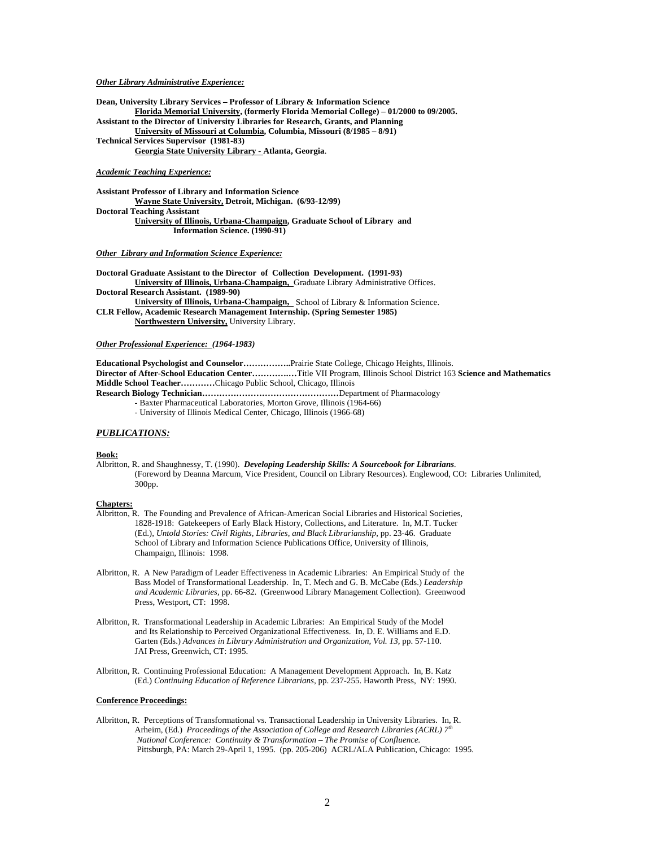### *Other Library Administrative Experience:*

**Dean, University Library Services – Professor of Library & Information Science Florida Memorial University, (formerly Florida Memorial College) – 01/2000 to 09/2005. Assistant to the Director of University Libraries for Research, Grants, and Planning University of Missouri at Columbia, Columbia, Missouri (8/1985 – 8/91) Technical Services Supervisor (1981-83) Georgia State University Library - Atlanta, Georgia**.

# *Academic Teaching Experience:*

**Assistant Professor of Library and Information Science Wayne State University, Detroit, Michigan. (6/93-12/99) Doctoral Teaching Assistant University of Illinois, Urbana-Champaign, Graduate School of Library and Information Science. (1990-91)** 

### *Other Library and Information Science Experience:*

**Doctoral Graduate Assistant to the Director of Collection Development. (1991-93) University of Illinois, Urbana-Champaign,** Graduate Library Administrative Offices. **Doctoral Research Assistant. (1989-90)** 

 **University of Illinois, Urbana-Champaign,** School of Library & Information Science. **CLR Fellow, Academic Research Management Internship. (Spring Semester 1985)** 

 **Northwestern University,** University Library.

*Other Professional Experience: (1964-1983)* 

**Educational Psychologist and Counselor……………..**Prairie State College, Chicago Heights, Illinois. **Director of After-School Education Center………….…**Title VII Program, Illinois School District 163 **Science and Mathematics Middle School Teacher…………**Chicago Public School, Chicago, Illinois

**Research Biology Technician…………………………………………**Department of Pharmacology

- Baxter Pharmaceutical Laboratories, Morton Grove, Illinois (1964-66)
- University of Illinois Medical Center, Chicago, Illinois (1966-68)

# *PUBLICATIONS:*

#### **Book:**

Albritton, R. and Shaughnessy, T. (1990). *Developing Leadership Skills: A Sourcebook for Librarians.*  (Foreword by Deanna Marcum, Vice President, Council on Library Resources). Englewood, CO: Libraries Unlimited, 300pp.

#### **Chapters:**

- Albritton, R. The Founding and Prevalence of African-American Social Libraries and Historical Societies, 1828-1918: Gatekeepers of Early Black History, Collections, and Literature. In, M.T. Tucker (Ed.), *Untold Stories: Civil Rights, Libraries, and Black Librarianship,* pp. 23-46. Graduate School of Library and Information Science Publications Office, University of Illinois, Champaign, Illinois: 1998.
- Albritton, R. A New Paradigm of Leader Effectiveness in Academic Libraries: An Empirical Study of the Bass Model of Transformational Leadership. In, T. Mech and G. B. McCabe (Eds.) *Leadership and Academic Libraries,* pp. 66-82. (Greenwood Library Management Collection). Greenwood Press, Westport, CT: 1998.
- Albritton, R. Transformational Leadership in Academic Libraries: An Empirical Study of the Model and Its Relationship to Perceived Organizational Effectiveness. In, D. E. Williams and E.D. Garten (Eds.) *Advances in Library Administration and Organization, Vol. 13, pp.* 57-110. JAI Press, Greenwich, CT: 1995.
- Albritton, R. Continuing Professional Education: A Management Development Approach. In, B. Katz (Ed.) *Continuing Education of Reference Librarians,* pp. 237-255. Haworth Press, NY: 1990.

### **Conference Proceedings:**

Albritton, R. Perceptions of Transformational vs. Transactional Leadership in University Libraries. In, R. Arheim, (Ed.) *Proceedings of the Association of College and Research Libraries (ACRL) 7th National Conference: Continuity & Transformation – The Promise of Confluence.*  Pittsburgh, PA: March 29-April 1, 1995. (pp. 205-206) ACRL/ALA Publication, Chicago: 1995.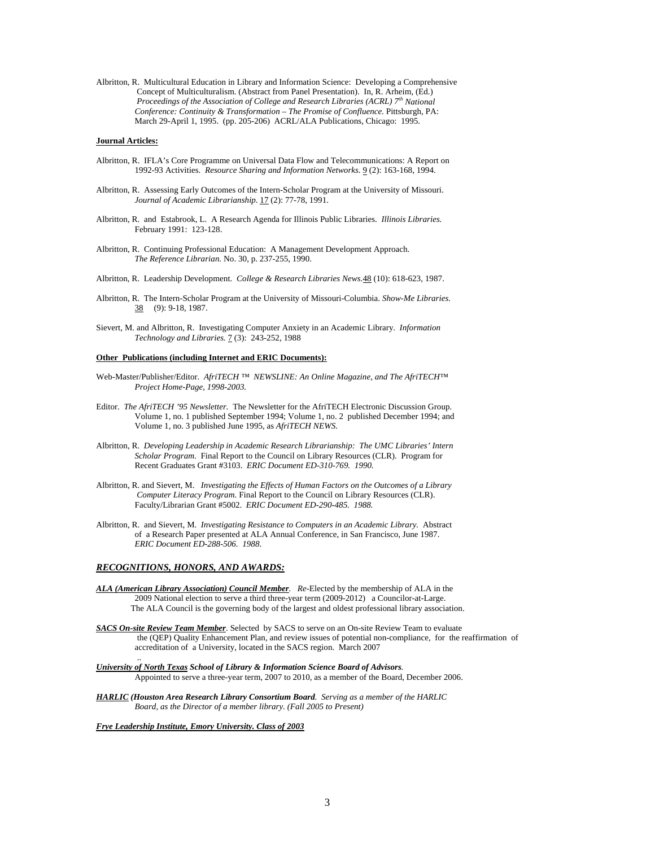Albritton, R. Multicultural Education in Library and Information Science: Developing a Comprehensive Concept of Multiculturalism. (Abstract from Panel Presentation). In, R. Arheim, (Ed.) *Proceedings of the Association of College and Research Libraries (ACRL) 7th National Conference: Continuity & Transformation – The Promise of Confluence.* Pittsburgh, PA: March 29-April 1, 1995. (pp. 205-206) ACRL/ALA Publications, Chicago: 1995.

### **Journal Articles:**

- Albritton, R. IFLA's Core Programme on Universal Data Flow and Telecommunications: A Report on 1992-93 Activities. *Resource Sharing and Information Networks.* 9 (2): 163-168, 1994.
- Albritton, R. Assessing Early Outcomes of the Intern-Scholar Program at the University of Missouri. *Journal of Academic Librarianship.* 17 (2): 77-78, 1991.
- Albritton, R. and Estabrook, L. A Research Agenda for Illinois Public Libraries. *Illinois Libraries.* February 1991: 123-128.
- Albritton, R. Continuing Professional Education: A Management Development Approach. *The Reference Librarian.* No. 30, p. 237-255, 1990.
- Albritton, R. Leadership Development. *College & Research Libraries News.*48 (10): 618-623, 1987.
- Albritton, R. The Intern-Scholar Program at the University of Missouri-Columbia. *Show-Me Libraries.*  38 (9): 9-18, 1987.
- Sievert, M. and Albritton, R. Investigating Computer Anxiety in an Academic Library. *Information Technology and Libraries.* 7 (3): 243-252, 1988

#### **Other Publications (including Internet and ERIC Documents):**

- Web-Master/Publisher/Editor. *AfriTECH ™ NEWSLINE: An Online Magazine, and The AfriTECH™ Project Home-Page, 1998-2003.*
- Editor. *The AfriTECH '95 Newsletter.* The Newsletter for the AfriTECH Electronic Discussion Group. Volume 1, no. 1 published September 1994; Volume 1, no. 2 published December 1994; and Volume 1, no. 3 published June 1995, as *AfriTECH NEWS.*
- Albritton, R. *Developing Leadership in Academic Research Librarianship: The UMC Libraries' Intern Scholar Program.* Final Report to the Council on Library Resources (CLR). Program for Recent Graduates Grant #3103. *ERIC Document ED-310-769. 1990.*
- Albritton, R. and Sievert, M. *Investigating the Effects of Human Factors on the Outcomes of a Library Computer Literacy Program.* Final Report to the Council on Library Resources (CLR). Faculty/Librarian Grant #5002. *ERIC Document ED-290-485. 1988.*
- Albritton, R. and Sievert, M. *Investigating Resistance to Computers in an Academic Library.* Abstract of a Research Paper presented at ALA Annual Conference, in San Francisco, June 1987. *ERIC Document ED-288-506. 1988*.

#### *RECOGNITIONS, HONORS, AND AWARDS:*

- *ALA (American Library Association) Council Member. Re-*Elected by the membership of ALA in the 2009 National election to serve a third three-year term (2009-2012) a Councilor-at-Large. The ALA Council is the governing body of the largest and oldest professional library association.
- *SACS On-site Review Team Member*. Selected by SACS to serve on an On-site Review Team to evaluate the (QEP) Quality Enhancement Plan, and review issues of potential non-compliance, for the reaffirmation of accreditation of a University, located in the SACS region. March 2007 ..
- *University of North Texas School of Library & Information Science Board of Advisors.*  Appointed to serve a three-year term, 2007 to 2010, as a member of the Board, December 2006.
- *HARLIC (Houston Area Research Library Consortium Board. Serving as a member of the HARLIC Board, as the Director of a member library. (Fall 2005 to Present)*

*Frye Leadership Institute, Emory University. Class of 2003*